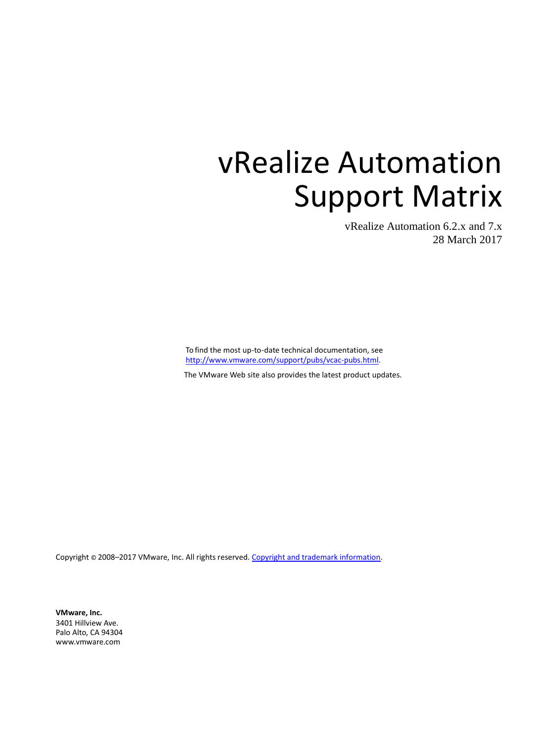vRealize Automation 6.2.x and 7.x 28 March 2017

To find the most up-to-date technical documentation, see [http://www.vmware.com/support/pubs/vcac-pubs.html.](http://www.vmware.com/support/pubs/vcac-pubs.html)

The VMware Web site also provides the latest product updates.

Copyright © 2008-2017 VMware, Inc. All rights reserved[. Copyright and trademark information.](http://pubs.vmware.com/copyright-trademark.html)

**VMware, Inc.** 3401 Hillview Ave. Palo Alto, CA 94304 [www.vmware.com](http://www.vmware.com/)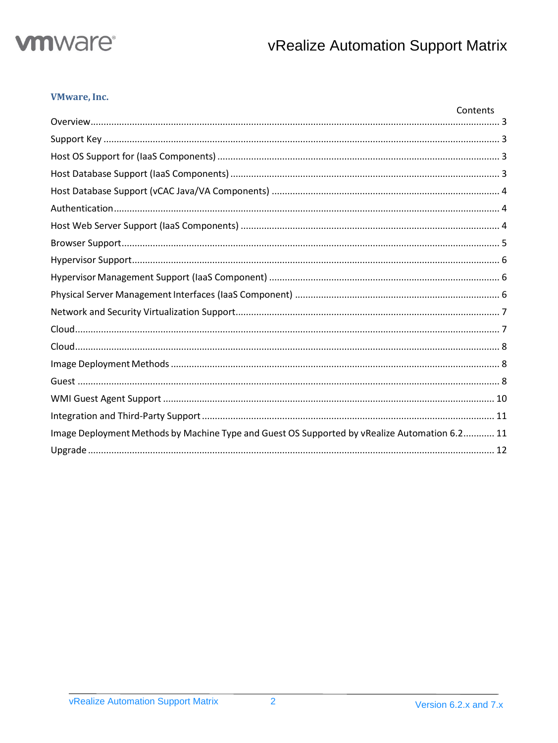

# **VMware, Inc.**

|                                                                                               | Contents |
|-----------------------------------------------------------------------------------------------|----------|
|                                                                                               |          |
|                                                                                               |          |
|                                                                                               |          |
|                                                                                               |          |
|                                                                                               |          |
|                                                                                               |          |
|                                                                                               |          |
|                                                                                               |          |
|                                                                                               |          |
|                                                                                               |          |
|                                                                                               |          |
|                                                                                               |          |
|                                                                                               |          |
|                                                                                               |          |
|                                                                                               |          |
|                                                                                               |          |
|                                                                                               |          |
|                                                                                               |          |
| Image Deployment Methods by Machine Type and Guest OS Supported by vRealize Automation 6.2 11 |          |
|                                                                                               |          |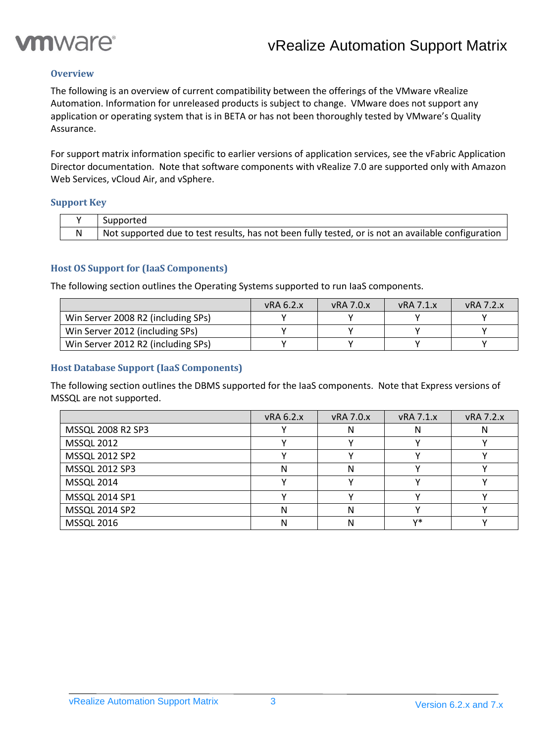

# <span id="page-2-0"></span>**Overview**

The following is an overview of current compatibility between the offerings of the VMware vRealize Automation. Information for unreleased products is subject to change. VMware does not support any application or operating system that is in BETA or has not been thoroughly tested by VMware's Quality Assurance.

For support matrix information specific to earlier versions of application services, see the vFabric Application Director documentation. Note that software components with vRealize 7.0 are supported only with Amazon Web Services, vCloud Air, and vSphere.

#### <span id="page-2-1"></span>**Support Key**

| Supported                                                                                          |
|----------------------------------------------------------------------------------------------------|
| Not supported due to test results, has not been fully tested, or is not an available configuration |

# <span id="page-2-2"></span>**Host OS Support for (IaaS Components)**

The following section outlines the Operating Systems supported to run IaaS components.

|                                    | vRA6.2.x | $vRA$ 7.0. $x$ | vRA 7.1.x | <b>vRA 7.2.x</b> |
|------------------------------------|----------|----------------|-----------|------------------|
| Win Server 2008 R2 (including SPs) |          |                |           |                  |
| Win Server 2012 (including SPs)    |          |                |           |                  |
| Win Server 2012 R2 (including SPs) |          |                |           |                  |

#### <span id="page-2-3"></span>**Host Database Support (IaaS Components)**

The following section outlines the DBMS supported for the IaaS components. Note that Express versions of MSSQL are not supported.

|                   | vRA 6.2.x | <b>vRA 7.0.x</b> | <b>vRA 7.1.x</b> | vRA 7.2.x |
|-------------------|-----------|------------------|------------------|-----------|
| MSSQL 2008 R2 SP3 |           | N                | N                |           |
| <b>MSSQL 2012</b> |           |                  |                  |           |
| MSSQL 2012 SP2    |           |                  |                  |           |
| MSSQL 2012 SP3    | N         | N                |                  |           |
| <b>MSSQL 2014</b> |           |                  |                  |           |
| MSSQL 2014 SP1    |           |                  |                  |           |
| MSSQL 2014 SP2    | N         | N                |                  |           |
| <b>MSSQL 2016</b> | Ν         |                  | v*               |           |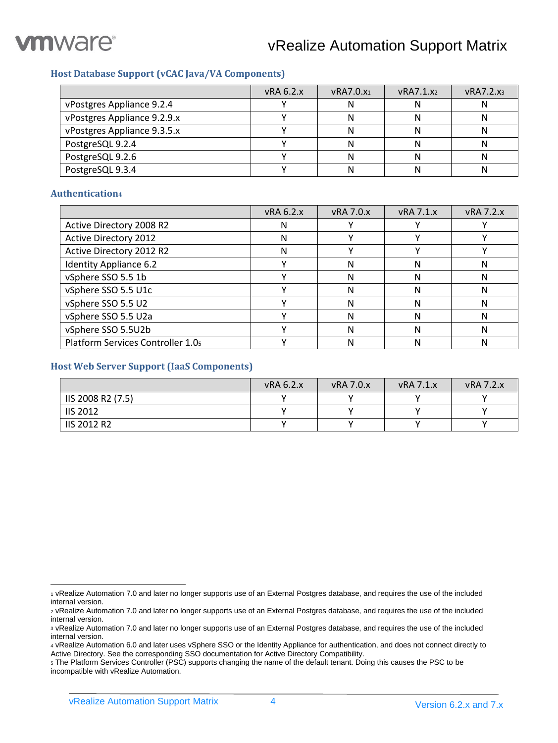

# <span id="page-3-0"></span>**Host Database Support (vCAC Java/VA Components)**

|                             | vRA 6.2.x | <b>vRA7.0.x1</b> | vRA7.1.x2 | VRA7.2.x <sub>3</sub> |
|-----------------------------|-----------|------------------|-----------|-----------------------|
| vPostgres Appliance 9.2.4   |           |                  | יי        |                       |
| vPostgres Appliance 9.2.9.x |           |                  |           |                       |
| vPostgres Appliance 9.3.5.x |           |                  |           |                       |
| PostgreSQL 9.2.4            |           |                  |           |                       |
| PostgreSQL 9.2.6            |           |                  |           |                       |
| PostgreSQL 9.3.4            |           |                  |           |                       |

#### <span id="page-3-1"></span>**Authentication<sup>4</sup>**

|                                   | vRA 6.2.x | <b>vRA 7.0.x</b> | <b>vRA 7.1.x</b> | <b>vRA 7.2.x</b> |
|-----------------------------------|-----------|------------------|------------------|------------------|
| Active Directory 2008 R2          | N         |                  |                  |                  |
| <b>Active Directory 2012</b>      | N         |                  |                  |                  |
| Active Directory 2012 R2          | Ν         |                  |                  |                  |
| Identity Appliance 6.2            |           | N                | N                |                  |
| vSphere SSO 5.5 1b                |           | N                | N                |                  |
| vSphere SSO 5.5 U1c               |           | N                | Ν                | N                |
| vSphere SSO 5.5 U2                |           | N                | N                |                  |
| vSphere SSO 5.5 U2a               |           | N                | N                |                  |
| vSphere SSO 5.5U2b                |           | N                | N                |                  |
| Platform Services Controller 1.05 |           |                  | N                |                  |

#### <span id="page-3-2"></span>**Host Web Server Support (IaaS Components)**

|                    | vRA 6.2.x | <b>vRA 7.0.x</b> | $vRA$ 7.1. $x$ | <b>vRA 7.2.x</b> |
|--------------------|-----------|------------------|----------------|------------------|
| IIS 2008 R2 (7.5)  |           |                  |                |                  |
| <b>IIS 2012</b>    |           |                  |                |                  |
| <b>IIS 2012 R2</b> |           |                  |                |                  |

 $\overline{a}$ <sup>1</sup> vRealize Automation 7.0 and later no longer supports use of an External Postgres database, and requires the use of the included internal version.

<sup>2</sup> vRealize Automation 7.0 and later no longer supports use of an External Postgres database, and requires the use of the included internal version.

<sup>3</sup> vRealize Automation 7.0 and later no longer supports use of an External Postgres database, and requires the use of the included internal version.

<sup>4</sup> vRealize Automation 6.0 and later uses vSphere SSO or the Identity Appliance for authentication, and does not connect directly to Active Directory. See the corresponding SSO documentation for Active Directory Compatibility.

<sup>5</sup> The Platform Services Controller (PSC) supports changing the name of the default tenant. Doing this causes the PSC to be incompatible with vRealize Automation.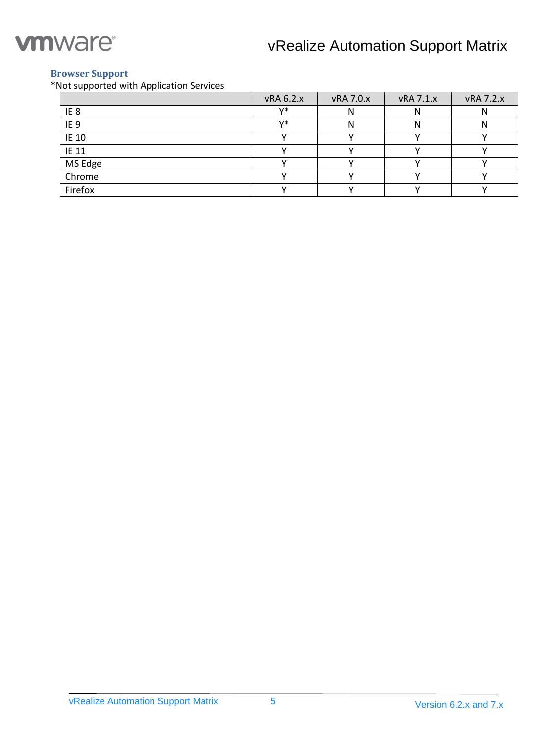

# <span id="page-4-0"></span>**Browser Support**

\*Not supported with Application Services

|                 | vRA 6.2.x | vRA 7.0.x | vRA 7.1.x | vRA 7.2.x |
|-----------------|-----------|-----------|-----------|-----------|
| IE <sub>8</sub> | v*        | I٧        | N         |           |
| IE <sub>9</sub> | $V^*$     |           | N         |           |
| <b>IE 10</b>    |           |           |           |           |
| IE 11           |           |           |           |           |
| MS Edge         |           |           |           |           |
| Chrome          |           |           |           |           |
| Firefox         |           |           |           |           |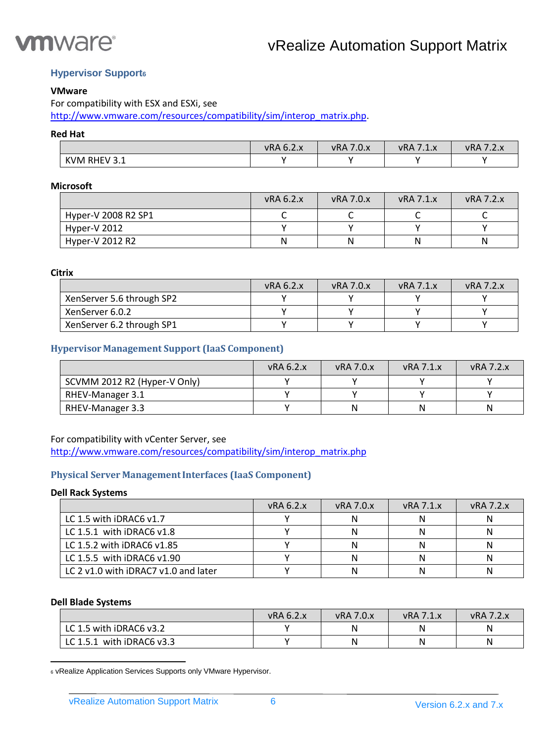

# <span id="page-5-0"></span>**Hypervisor Support<sup>6</sup>**

# **VMware**

For compatibility with ESX and ESXi, see

[http://www.vmware.com/resources/compatibility/sim/interop\\_matrix.php.](http://www.vmware.com/resources/compatibility/sim/interop_matrix.php)

# **Red Hat**

|                                 | vRA 6.2.x | 7.0.x<br><b>vRA</b> | $-11$<br>vRA<br>$\overline{\mathbf{v}}$<br>$. + . \wedge$ | vRA<br>۰۷.۸ |
|---------------------------------|-----------|---------------------|-----------------------------------------------------------|-------------|
| RHEV 3.1<br><b>KVM</b><br>ـ . ـ |           |                     |                                                           |             |

# **Microsoft**

|                     | vRA 6.2.x | $vRA$ 7.0. $x$ | $vRA$ 7.1. $x$ | <b>vRA 7.2.x</b> |
|---------------------|-----------|----------------|----------------|------------------|
| Hyper-V 2008 R2 SP1 |           |                |                |                  |
| Hyper-V 2012        |           |                |                |                  |
| Hyper-V 2012 R2     | Ν         |                | Ν              |                  |

**Citrix**

|                           | vRA 6.2.x | $vRA$ 7.0. $x$ | $vRA$ 7.1. $x$ | $vRA$ 7.2 $x$ |
|---------------------------|-----------|----------------|----------------|---------------|
| XenServer 5.6 through SP2 |           |                |                |               |
| XenServer 6.0.2           |           |                |                |               |
| XenServer 6.2 through SP1 |           |                |                |               |

# <span id="page-5-1"></span>**Hypervisor Management Support (IaaS Component)**

|                              | vRA 6.2.x | $vRA$ 7.0. $x$ | $vRA$ 7.1. $x$ | $vRA$ 7.2. $x$ |
|------------------------------|-----------|----------------|----------------|----------------|
| SCVMM 2012 R2 (Hyper-V Only) |           |                |                |                |
| RHEV-Manager 3.1             |           |                |                |                |
| RHEV-Manager 3.3             |           | N              | Ν              |                |

### For compatibility with vCenter Server, see

[http://www.vmware.com/resources/compatibility/sim/interop\\_matrix.php](http://www.vmware.com/resources/compatibility/sim/interop_matrix.php)

# <span id="page-5-2"></span>**Physical Server ManagementInterfaces (IaaS Component)**

#### **Dell Rack Systems**

|                                      | vRA 6.2.x | $vRA$ 7.0. $x$ | $vRA$ 7.1. $x$ | <b>vRA 7.2.x</b> |
|--------------------------------------|-----------|----------------|----------------|------------------|
| LC 1.5 with iDRAC6 v1.7              |           |                |                |                  |
| LC 1.5.1 with iDRAC6 v1.8            |           |                |                |                  |
| LC 1.5.2 with iDRAC6 v1.85           |           |                |                |                  |
| LC 1.5.5 with $iDRAC6$ v1.90         |           |                |                |                  |
| LC 2 y1.0 with iDRAC7 y1.0 and later |           |                |                |                  |

#### **Dell Blade Systems**

 $\overline{\phantom{a}}$ 

|                           | <b>vRA 6.2.x</b> | <b>vRA 7.0.x</b> | <b>vRA 7.1.x</b> | <b>vRA 7.2.x</b> |
|---------------------------|------------------|------------------|------------------|------------------|
| LC 1.5 with iDRAC6 v3.2   |                  | N                | Ν                |                  |
| LC 1.5.1 with iDRAC6 v3.3 |                  | N                | Ν                |                  |

<sup>6</sup> vRealize Application Services Supports only VMware Hypervisor.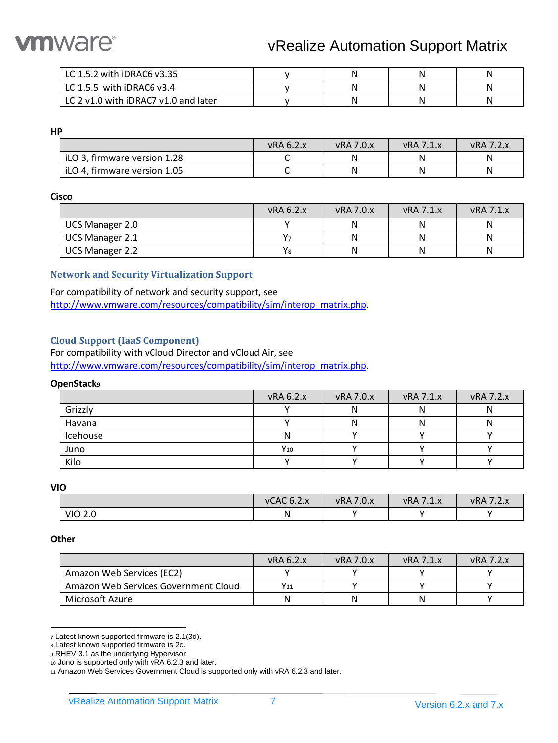

| LC 1.5.2 with iDRAC6 v3.35           |  | N |  |
|--------------------------------------|--|---|--|
| LC 1.5.5 with iDRAC6 $v3.4$          |  |   |  |
| LC 2 v1.0 with iDRAC7 v1.0 and later |  | N |  |

**HP**

|                              | vRA 6.2.x | <b>vRA 7.0.x</b> | <b>VRA 7.1.X</b> | <b>vRA 7.2.x</b> |
|------------------------------|-----------|------------------|------------------|------------------|
| iLO 3, firmware version 1.28 |           |                  | N                |                  |
| iLO 4, firmware version 1.05 |           |                  | Ν                |                  |

#### **Cisco**

|                        | vRA 6.2.x          | <b>vRA 7.0.x</b> | $vRA$ 7.1. $x$ | <b>vRA 7.1.x</b> |
|------------------------|--------------------|------------------|----------------|------------------|
| <b>UCS Manager 2.0</b> |                    |                  | Ν              |                  |
| UCS Manager 2.1        | $V_{\overline{2}}$ |                  | Ν              |                  |
| <b>UCS Manager 2.2</b> | Y <sub>8</sub>     |                  | Ν              |                  |

# <span id="page-6-0"></span>**Network and Security Virtualization Support**

For compatibility of network and security support, see [http://www.vmware.com/resources/compatibility/sim/interop\\_matrix.php.](http://www.vmware.com/resources/compatibility/sim/interop_matrix.php)

#### <span id="page-6-1"></span>**Cloud Support (IaaS Component)**

For compatibility with vCloud Director and vCloud Air, see [http://www.vmware.com/resources/compatibility/sim/interop\\_matrix.php.](http://www.vmware.com/resources/compatibility/sim/interop_matrix.php)

#### **OpenStack<sup>9</sup>**

|          | vRA 6.2.x | vRA 7.0.x | <b>vRA 7.1.x</b> | <b>vRA 7.2.x</b> |
|----------|-----------|-----------|------------------|------------------|
| Grizzly  |           |           | N                |                  |
| Havana   |           | N         | Ν                |                  |
| Icehouse | N         |           |                  |                  |
| Juno     | $Y_{10}$  |           |                  |                  |
| Kilo     |           |           |                  |                  |

**VIO**

|                | <b>vCAC 6.2.x</b> | $-$<br>7.0.x<br>vRA | $-71v$<br>vRA<br>۰⊥۰۸ | $\rightarrow$<br><b>vRA</b><br>$\sqrt{2.2}$ |
|----------------|-------------------|---------------------|-----------------------|---------------------------------------------|
| <b>VIO 2.0</b> | ΙN                |                     |                       |                                             |

#### **Other**

|                                      | vRA 6.2.x | vRA 7.0.x | $vRA$ 7.1. $x$ | $vRA$ 7.2. $x$ |
|--------------------------------------|-----------|-----------|----------------|----------------|
| Amazon Web Services (EC2)            |           |           |                |                |
| Amazon Web Services Government Cloud | $Y_{11}$  |           |                |                |
| Microsoft Azure                      | Ν         |           | N              |                |

 $\overline{\phantom{a}}$ <sup>7</sup> Latest known supported firmware is 2.1(3d).

<sup>8</sup> Latest known supported firmware is 2c.

<sup>9</sup> RHEV 3.1 as the underlying Hypervisor.

<sup>10</sup> Juno is supported only with vRA 6.2.3 and later.

<sup>11</sup> Amazon Web Services Government Cloud is supported only with vRA 6.2.3 and later.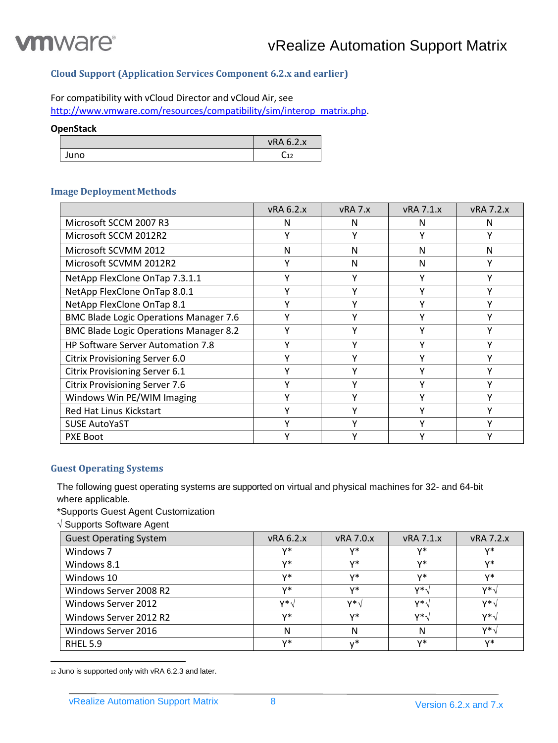

# <span id="page-7-0"></span>**Cloud Support (Application Services Component 6.2.x and earlier)**

# For compatibility with vCloud Director and vCloud Air, see

[http://www.vmware.com/resources/compatibility/sim/interop\\_matrix.php.](http://www.vmware.com/resources/compatibility/sim/interop_matrix.php)

# **OpenStack**

|      | vRA 6.2.x      |
|------|----------------|
| Juno | $\sim$<br>╰┙┸┻ |

# <span id="page-7-1"></span>**Image Deployment Methods**

|                                               | <b>vRA 6.2.x</b> | vRA 7.x | <b>vRA 7.1.x</b> | <b>vRA 7.2.x</b> |
|-----------------------------------------------|------------------|---------|------------------|------------------|
| Microsoft SCCM 2007 R3                        | N                | N       | N                | N                |
| Microsoft SCCM 2012R2                         | Υ                | γ       | Υ                | γ                |
| Microsoft SCVMM 2012                          | N                | N       | N                | N                |
| Microsoft SCVMM 2012R2                        | Υ                | N       | N                | γ                |
| NetApp FlexClone OnTap 7.3.1.1                | ٧                | ν       | Υ                | v                |
| NetApp FlexClone OnTap 8.0.1                  | ٧                | ٧       | Y                |                  |
| NetApp FlexClone OnTap 8.1                    | v                | v       | ۷                |                  |
| <b>BMC Blade Logic Operations Manager 7.6</b> | v                | v       | v                |                  |
| <b>BMC Blade Logic Operations Manager 8.2</b> | ٧                | v       | v                |                  |
| <b>HP Software Server Automation 7.8</b>      | Υ                | ٧       | γ                | ۷                |
| <b>Citrix Provisioning Server 6.0</b>         | ٧                |         | ٧                |                  |
| Citrix Provisioning Server 6.1                | ٧                |         | ٧                |                  |
| <b>Citrix Provisioning Server 7.6</b>         | ٧                | ۷       | γ                |                  |
| Windows Win PE/WIM Imaging                    | γ                |         | γ                |                  |
| Red Hat Linus Kickstart                       | ٧                | ν       | γ                |                  |
| <b>SUSE AutoYaST</b>                          | Y                | ٧       | Υ                | ۷                |
| <b>PXE Boot</b>                               | ٧                | v       | ٧                |                  |

#### <span id="page-7-2"></span>**Guest Operating Systems**

The following guest operating systems are supported on virtual and physical machines for 32- and 64-bit where applicable.

\*Supports Guest Agent Customization

 $\sqrt{S}$  Supports Software Agent

| <b>Guest Operating System</b> | <b>vRA 6.2.x</b> | <b>vRA 7.0.x</b> | <b>vRA 7.1.x</b> | <b>vRA 7.2.x</b> |
|-------------------------------|------------------|------------------|------------------|------------------|
| Windows 7                     | v*               | v*               | v*               | v*               |
| Windows 8.1                   | v*               | v*               | v*               | v*               |
| Windows 10                    | v*               | v*               | v*               | v*               |
| Windows Server 2008 R2        | v*               | v*               | $V^*$            | $V^*$            |
| Windows Server 2012           | <b>v*</b>        | $V^*$            | v*۱              | $V^*$            |
| Windows Server 2012 R2        | v*               | v*               | $V^*$            | $V^*$            |
| Windows Server 2016           | N                | N                | N                | $V^*$            |
| <b>RHEL 5.9</b>               | v*               | ∗,               | v*               | v*               |

12 Juno is supported only with vRA 6.2.3 and later.

 $\overline{\phantom{a}}$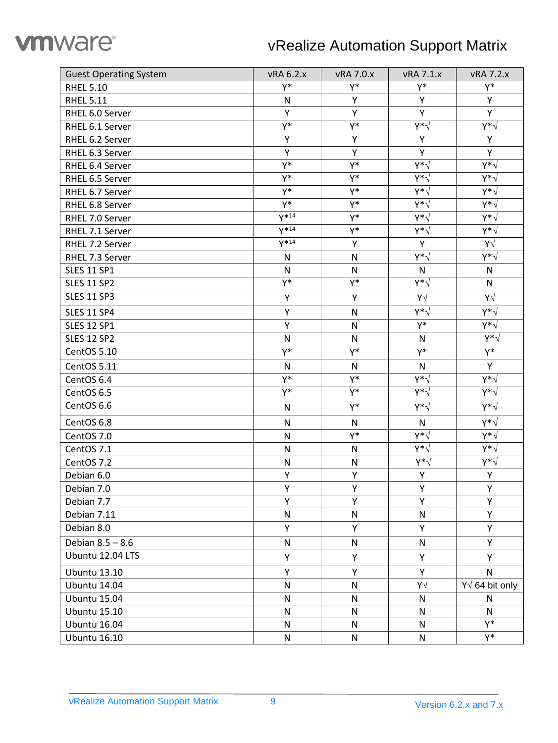

| <b>Guest Operating System</b> | vRA 6.2.x    | vRA 7.0.x    | vRA 7.1.x    | <b>vRA 7.2.x</b>      |
|-------------------------------|--------------|--------------|--------------|-----------------------|
| <b>RHEL 5.10</b>              | Y*           | Y*           | Y*           | Y*                    |
| <b>RHEL 5.11</b>              | N            | Y            | Y            | Y                     |
| RHEL 6.0 Server               | Y            | Y            | Y            | Y                     |
| RHEL 6.1 Server               | Y*           | Y*           | γ∗√          | γ∗√                   |
| RHEL 6.2 Server               | Υ            | Υ            | Υ            | Υ                     |
| RHEL 6.3 Server               | Y            | Y            | Y            | Y.                    |
| RHEL 6.4 Server               | Y*           | Y*           | Y*√          | γ∗√                   |
| RHEL 6.5 Server               | Y*           | Y*           | γ∗√          | γ∗√                   |
| RHEL 6.7 Server               | Y*           | $Y^*$        | $Y^*\sqrt{}$ | γ∗√                   |
| RHEL 6.8 Server               | Y*           | Y*           | $Y^*\sqrt{}$ | γ∗√                   |
| RHEL 7.0 Server               | $Y^{*14}$    | Y*           | γ∗√          | γ∗√                   |
| RHEL 7.1 Server               | $V^{*14}$    | Y*           | γ∗√          | $Y^*\sqrt$            |
| RHEL 7.2 Server               | $V^{*14}$    | Υ            | Υ            | Υ√                    |
| RHEL 7.3 Server               | $\mathsf{N}$ | $\mathsf{N}$ | γ∗√          | γ∗√                   |
| <b>SLES 11 SP1</b>            | N            | $\mathsf{N}$ | N            | N                     |
| <b>SLES 11 SP2</b>            | Y*           | Y*           | γ∗√          | N                     |
| <b>SLES 11 SP3</b>            | Υ            | Υ            | Y√           | Υ√                    |
| <b>SLES 11 SP4</b>            | Υ            | N            | γ∗√          | γ∗√                   |
| <b>SLES 12 SP1</b>            | Y            | $\mathsf{N}$ | Y*           | γ∗√                   |
| <b>SLES 12 SP2</b>            | $\mathsf{N}$ | N            | N            | $Y^*\sqrt{}$          |
| CentOS 5.10                   | Y*           | Y*           | Y*           | Y*                    |
| CentOS 5.11                   | $\mathsf{N}$ | $\mathsf{N}$ | $\mathsf{N}$ | Y                     |
| CentOS 6.4                    | Y*           | Y*           | γ∗√          | γ∗√                   |
| CentOS 6.5                    | Y*           | Y*           | γ∗√          | γ∗√                   |
| CentOS 6.6                    | $\mathsf{N}$ | Y*           | γ∗√          | γ∗√                   |
| CentOS 6.8                    | $\mathsf{N}$ | $\mathsf{N}$ | $\mathsf{N}$ | γ∗√                   |
| CentOS 7.0                    | $\mathsf{N}$ | Y*           | γ∗√          | γ∗√                   |
| CentOS 7.1                    | N            | N            | γ∗√          | γ∗√                   |
| CentOS 7.2                    | $\mathsf{N}$ | N            | $Y^*\sqrt{}$ | $Y^*\sqrt{}$          |
| Debian 6.0                    | Υ            | Υ            | Υ            | Υ                     |
| Debian 7.0                    | Υ            | Υ            | Υ            | Y                     |
| Debian 7.7                    | Y            | Y            | Y            | Y                     |
| Debian 7.11                   | N            | $\mathsf{N}$ | ${\sf N}$    | Υ                     |
| Debian 8.0                    | Y            | Υ            | Υ            | Υ                     |
| Debian 8.5 - 8.6              | $\mathsf{N}$ | ${\sf N}$    | N            | Υ                     |
| Ubuntu 12.04 LTS              | Υ            | Y            | Υ            | Υ                     |
| <b>Ubuntu 13.10</b>           | Υ            | Υ            | Υ            | $\mathsf{N}$          |
| <b>Ubuntu 14.04</b>           | $\mathsf{N}$ | $\mathsf{N}$ | Y√           | $Y\sqrt{64}$ bit only |
| <b>Ubuntu 15.04</b>           | $\mathsf{N}$ | N            | N            | N                     |
| <b>Ubuntu 15.10</b>           | $\mathsf{N}$ | N            | ${\sf N}$    | $\mathsf{N}$          |
| <b>Ubuntu 16.04</b>           | N            | N            | N            | Y*                    |
| <b>Ubuntu 16.10</b>           | ${\sf N}$    | ${\sf N}$    | ${\sf N}$    | Y*                    |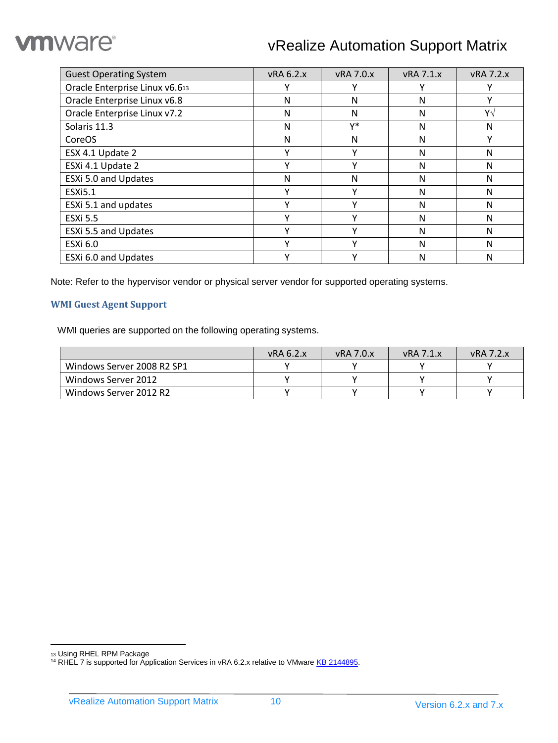# **vm**ware<sup>®</sup>

# vRealize Automation Support Matrix

| <b>Guest Operating System</b>  | vRA 6.2.x    | <b>vRA 7.0.x</b> | <b>vRA 7.1.x</b> | <b>vRA 7.2.x</b> |
|--------------------------------|--------------|------------------|------------------|------------------|
| Oracle Enterprise Linux v6.613 | ν            |                  | v                |                  |
| Oracle Enterprise Linux v6.8   | N            | N                | N                |                  |
| Oracle Enterprise Linux v7.2   | N            | N                | N                | Υ√               |
| Solaris 11.3                   | N            | v*               | N                | N                |
| CoreOS                         | N            | Ν                | N                | v                |
| ESX 4.1 Update 2               | Υ            |                  | N                | N                |
| ESXi 4.1 Update 2              | $\checkmark$ | v                | N                | N                |
| ESXi 5.0 and Updates           | N            | N                | N                | N                |
| <b>ESXi5.1</b>                 | ν            |                  | N                | N                |
| ESXi 5.1 and updates           | ٧            |                  | N                | N                |
| <b>ESXi 5.5</b>                | $\checkmark$ | v                | N                | N                |
| ESXi 5.5 and Updates           | Υ            |                  | N                | N                |
| <b>ESXi 6.0</b>                | $\checkmark$ |                  | N                | N                |
| ESXi 6.0 and Updates           | Υ            | ν                | N                | N                |

Note: Refer to the hypervisor vendor or physical server vendor for supported operating systems.

# <span id="page-9-0"></span>**WMI Guest Agent Support**

WMI queries are supported on the following operating systems.

|                            | vRA 6.2.x | $vRA$ 7.0. $x$ | $vRA$ 7.1. $x$ | $vRA$ 7.2. $x$ |
|----------------------------|-----------|----------------|----------------|----------------|
| Windows Server 2008 R2 SP1 |           |                |                |                |
| Windows Server 2012        |           |                |                |                |
| Windows Server 2012 R2     |           |                |                |                |

 $\overline{\phantom{a}}$ 

<sup>13</sup> Using RHEL RPM Package

<sup>&</sup>lt;sup>14</sup> RHEL 7 is supported for Application Services in vRA 6.2.x relative to VMwar[e KB 2144895.](http://kb.vmware.com/kb/2144895)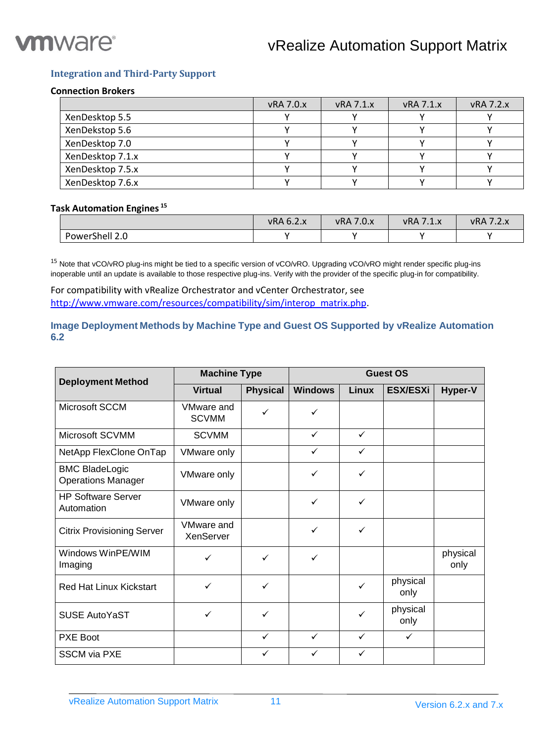

# <span id="page-10-0"></span>**Integration and Third-Party Support**

#### **Connection Brokers**

|                  | <b>vRA 7.0.x</b> | $vRA$ 7.1. $x$ | $vRA$ 7.1. $x$ | <b>vRA 7.2.x</b> |
|------------------|------------------|----------------|----------------|------------------|
| XenDesktop 5.5   |                  |                |                |                  |
| XenDekstop 5.6   |                  |                |                |                  |
| XenDesktop 7.0   |                  |                |                |                  |
| XenDesktop 7.1.x |                  |                |                |                  |
| XenDesktop 7.5.x |                  |                |                |                  |
| XenDesktop 7.6.x |                  |                |                |                  |

# **Task Automation Engines <sup>15</sup>**

|                | vRA 6.2.x | 70v<br>vRA<br>$\cdot$ .U.X | $-7.4$<br><b>vRA</b> | $\rightarrow$<br>vRA<br>. |
|----------------|-----------|----------------------------|----------------------|---------------------------|
| PowerShell 2.0 |           |                            |                      |                           |

<sup>15</sup> Note that vCO/vRO plug-ins might be tied to a specific version of vCO/vRO. Upgrading vCO/vRO might render specific plug-ins inoperable until an update is available to those respective plug-ins. Verify with the provider of the specific plug-in for compatibility.

For compatibility with vRealize Orchestrator and vCenter Orchestrator, see [http://www.vmware.com/resources/compatibility/sim/interop\\_matrix.php.](http://www.vmware.com/resources/compatibility/sim/interop_matrix.php)

# <span id="page-10-1"></span>**Image Deployment Methods by Machine Type and Guest OS Supported by vRealize Automation 6.2**

| <b>Deployment Method</b>                           | <b>Machine Type</b>            |                 | <b>Guest OS</b> |              |                  |                  |
|----------------------------------------------------|--------------------------------|-----------------|-----------------|--------------|------------------|------------------|
|                                                    | <b>Virtual</b>                 | <b>Physical</b> | <b>Windows</b>  | <b>Linux</b> | <b>ESX/ESXI</b>  | Hyper-V          |
| Microsoft SCCM                                     | VMware and<br><b>SCVMM</b>     | ✓               | ✓               |              |                  |                  |
| Microsoft SCVMM                                    | <b>SCVMM</b>                   |                 | $\checkmark$    | ✓            |                  |                  |
| NetApp FlexClone OnTap                             | <b>VMware only</b>             |                 | $\checkmark$    | ✓            |                  |                  |
| <b>BMC BladeLogic</b><br><b>Operations Manager</b> | VMware only                    |                 | ✓               | ✓            |                  |                  |
| <b>HP Software Server</b><br>Automation            | VMware only                    |                 | ✓               | ✓            |                  |                  |
| <b>Citrix Provisioning Server</b>                  | <b>VMware and</b><br>XenServer |                 | ✓               | ✓            |                  |                  |
| Windows WinPE/WIM<br>Imaging                       | ✓                              | ✓               | ✓               |              |                  | physical<br>only |
| Red Hat Linux Kickstart                            | $\checkmark$                   | ✓               |                 | ✓            | physical<br>only |                  |
| <b>SUSE AutoYaST</b>                               | ✓                              | ✓               |                 | ✓            | physical<br>only |                  |
| PXE Boot                                           |                                | $\checkmark$    | $\checkmark$    | $\checkmark$ | $\checkmark$     |                  |
| <b>SSCM via PXE</b>                                |                                | ✓               | ✓               | ✓            |                  |                  |